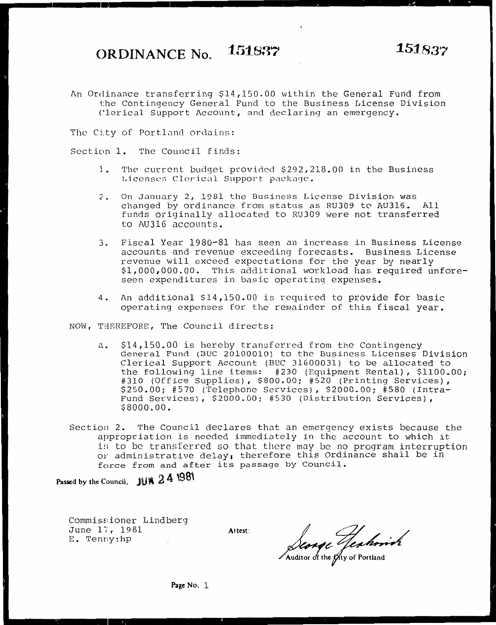An Ordinance transferring \$14,150.00 within the General Fund from the Contingency General Fund to the Business License Division Clerical Support Account, and declaring an emergency.

The City of Portland ordains:

Section 1. The Council finds:

- J. The current budget provided \$292,218.00 in the Business Licenses Clerical Support package.
- 2. On January 2, 1981 the Business License Division was changed by ordinance from status as RU309 to AU316. All funds originally allocated to RU309 were not transferred to AU316 accounts.
- 3. Fiscal Year 1980-81 has seen an increase in Business License accounts and revenue exceeding forecasts. Business License revenue will exceed expectations for the year by nearly \$1,000,000.00. This additional workload has required unforeseen expenditures in basic operating expenses.
- 4. An additional \$14,150.00 is required to provide for basic operating expenses for the remainder of this fiscal year.

NOW, THEREFORE, The Council directs:

- a. \$14,150.00 is hereby transferred from the Contingency General Fund (BUC 20100010) to the Business Licenses Division Clerical Support Account (BUC 31600031) to be allocated to the following line items: #230 (Equipment Rental), \$1100.00; #310 (Office Supplies), \$800.00; #520 (Printing Services), \$250.00; #570 (Telephone Services), \$2000.00; #580 (Intra-Fund Services), \$2000.00; #530 (Distribution Services), \$8000.00.
- Section 2. The Council declares that an emergency exists because the appropriation is needed immediately in the account to which it is to be transferred so that there may be no program interruption or administrative delay, therefore this Ordinance shall be in force from and after its passage by Council.

**Passed by the Council, JUW 2 4 1981** 

Commissioner Lindberg June 17, 1981 E. Tenny:hp

Altest:<br>*Aconge Jenhorish*<br>Auditor of the gity of Portland